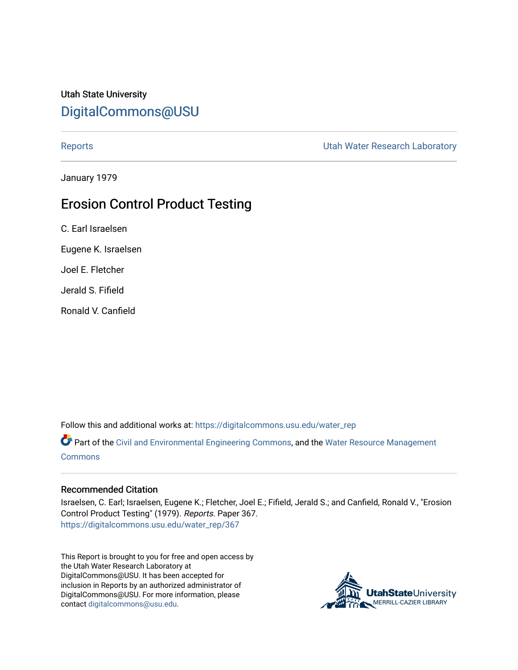## Utah State University [DigitalCommons@USU](https://digitalcommons.usu.edu/)

[Reports](https://digitalcommons.usu.edu/water_rep) **National Community Community** Channel Community Utah Water Research Laboratory

January 1979

## Erosion Control Product Testing

C. Earl Israelsen Eugene K. Israelsen Joel E. Fletcher Jerald S. Fifield

Ronald V. Canfield

Follow this and additional works at: [https://digitalcommons.usu.edu/water\\_rep](https://digitalcommons.usu.edu/water_rep?utm_source=digitalcommons.usu.edu%2Fwater_rep%2F367&utm_medium=PDF&utm_campaign=PDFCoverPages) 

Part of the [Civil and Environmental Engineering Commons](http://network.bepress.com/hgg/discipline/251?utm_source=digitalcommons.usu.edu%2Fwater_rep%2F367&utm_medium=PDF&utm_campaign=PDFCoverPages), and the [Water Resource Management](http://network.bepress.com/hgg/discipline/1057?utm_source=digitalcommons.usu.edu%2Fwater_rep%2F367&utm_medium=PDF&utm_campaign=PDFCoverPages) **[Commons](http://network.bepress.com/hgg/discipline/1057?utm_source=digitalcommons.usu.edu%2Fwater_rep%2F367&utm_medium=PDF&utm_campaign=PDFCoverPages)** 

### Recommended Citation

Israelsen, C. Earl; Israelsen, Eugene K.; Fletcher, Joel E.; Fifield, Jerald S.; and Canfield, Ronald V., "Erosion Control Product Testing" (1979). Reports. Paper 367. [https://digitalcommons.usu.edu/water\\_rep/367](https://digitalcommons.usu.edu/water_rep/367?utm_source=digitalcommons.usu.edu%2Fwater_rep%2F367&utm_medium=PDF&utm_campaign=PDFCoverPages)

This Report is brought to you for free and open access by the Utah Water Research Laboratory at DigitalCommons@USU. It has been accepted for inclusion in Reports by an authorized administrator of DigitalCommons@USU. For more information, please contact [digitalcommons@usu.edu](mailto:digitalcommons@usu.edu).

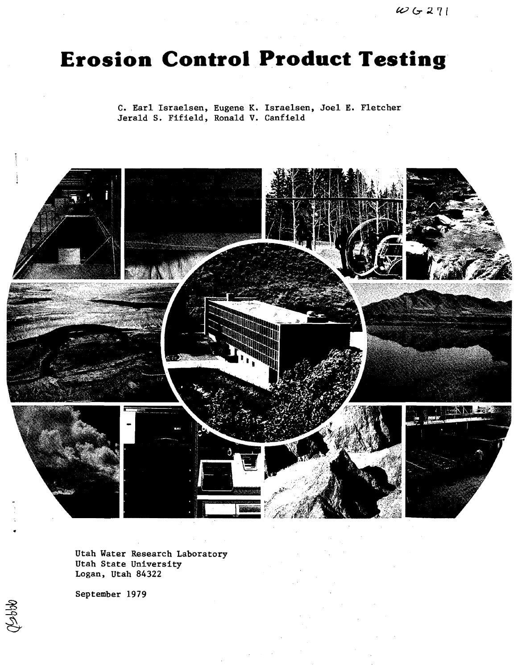# **Erosion Control Product Testing**

C. Earl Israelsen, Eugene K. Israelsen, Joel E. Fletcher Jerald S. Fifield, Ronald V. Canfield



Utah Water Research Laboratory Utah State University Logan, Utah 84322

September 1979

 $Q$  $D$  $B$  $B$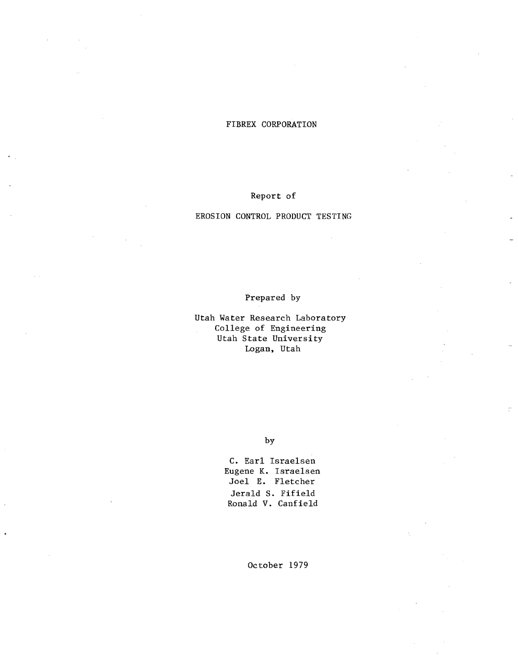#### FIBREX CORPORATION

#### Report of

#### EROSION CONTROL PRODUCT TESTING

Prepared by

Utah Water Research Laboratory College of Engineering Utah State University Logan, Utah

by

C. Earl Israelsen Eugene K. Israelsen Joel E. Fletcher Jerald S. Fifield Ronald V. Canfield

October 1979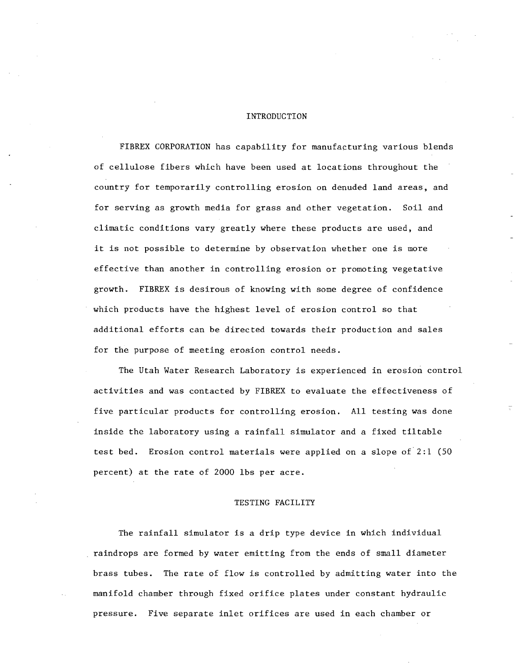#### INTRODUCTION

FIBREX CORPORATION has capability for manufacturing various blends of cellulose fibers which have been used at locations throughout the country for temporarily controlling erosion on denuded land areas, and for serving as growth media for grass and other vegetation. Soil and climatic conditions vary greatly where these products are used, and it is not possible to determine by observation whether one is more effective than another **in** controlling erosion or promoting vegetative growth. FIBREX is desirous of knowing with some degree of confidence which products have the highest level of erosion control so that additional efforts can be directed towards their production and sales for the purpose of meeting erosion control needs.

The Utah Water Research Laboratory is experienced in erosion control activities and was contacted by FIBREX to evaluate the effectiveness of five particular products for controlling erosion. All testing was done inside the laboratory using a rainfall simulator and a fixed tiltable test bed. Erosion control materials were applied on a slope of  $2:1$  (50 percent) at the rate of 2000 Ibs per acre.

#### TESTING FACILITY

The rainfall simulator is a drip type device in which individual raindrops are formed by water emitting from the ends of small diameter brass tubes. The rate of flow is controlled by admitting water into the manifold chamber through fixed orifice plates under constant hydraulic pressure. Five separate inlet orifices are used in each chamber or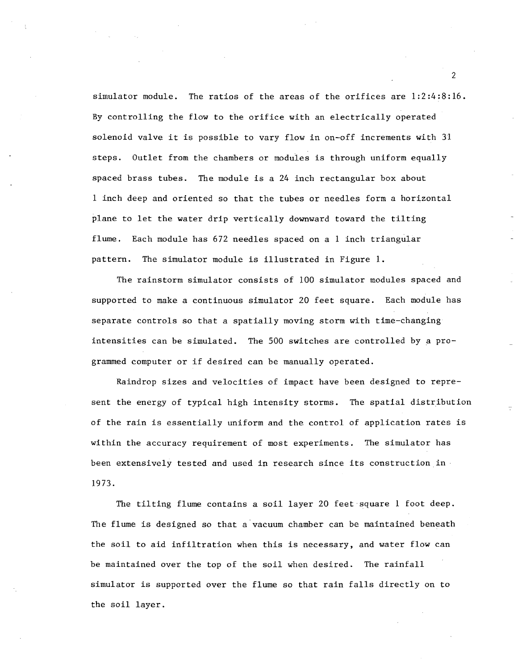simulator module. The ratios of the areas of the orifices are 1:2:4:8:16. By controlling the flow to the orifice with an electrically operated solenoid valve it is possible to vary flow in on-off increments with 31 steps. Outlet from the chambers or modules is through uniform equally spaced brass tubes. The module is a 24 inch rectangular box about 1 inch deep and oriented so that the tubes or needles form a horizontal plane to let the water drip vertically downward toward the tilting flume. Each module has 672 needles spaced on a 1 inch triangular pattern. The simulator module is illustrated in Figure 1.

The rainstorm simulator consists of 100 simulator modules spaced and supported to make a continuous simulator 20 feet square. Each module has separate controls so that a spatially moving storm with time-changing intensities can be simulated. The 500 switches are controlled by a programmed computer or if desired can be manually operated.

Raindrop sizes and velocities of impact have been designed to represent the energy of typical high intensity storms. The spatial distribution of the rain is essentially uniform and the control of application rates is within the accuracy requirement of most experiments. The simulator has been extensively tested and used in research since its construction in 1973.

The tilting flume contains a soil layer 20 feet square 1 foot deep. The flume is designed so that a vacuum chamber can be maintained beneath the soil to aid infiltration when this is necessary, and water flow can be maintained over the top of the soil when desired. The rainfall simulator is supported over the flume so that rain falls directly on to the soil layer.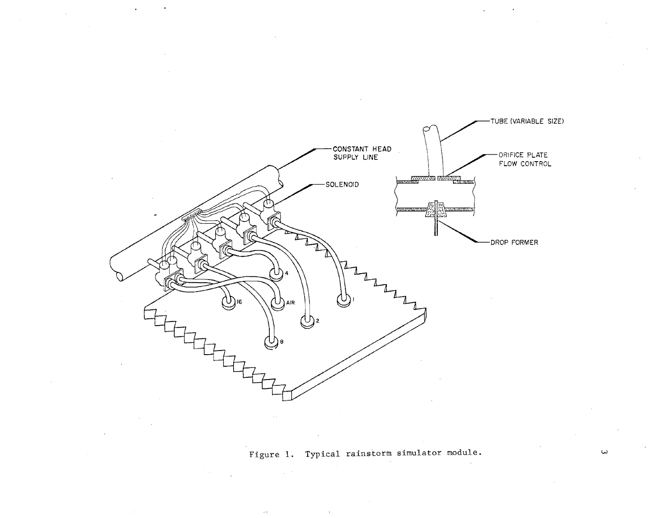

Figure 1. Typical rainstorm simulator module. w

 $\alpha$  (f)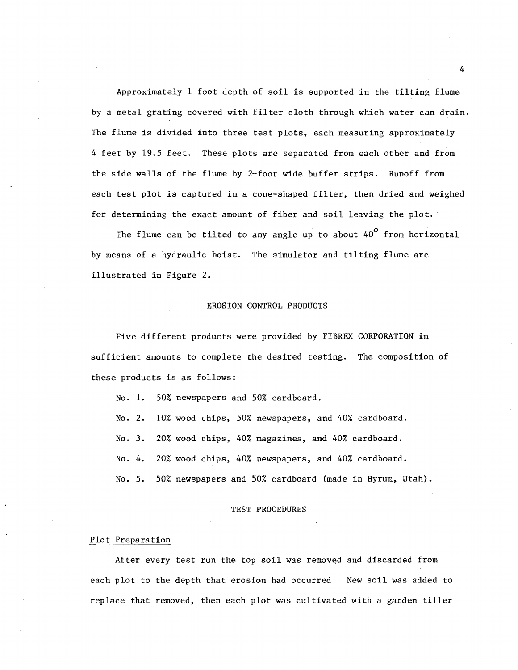Approximately 1 foot depth of soil is supported in the tilting flume by a metal grating covered with filter cloth through which water can drain. The flume is divided into three test plots, each measuring approximately 4 feet by 19.5 feet. These plots are separated from each other and from the side walls of the flume by 2-foot wide buffer strips. Runoff from each test plot is captured in a cone-shaped filter, then dried and weighed for determining the exact amount of fiber and soil leaving the plot.

The flume can be tilted to any angle up to about  $40^{\circ}$  from horizontal by means of a hydraulic hoist. The simulator and tilting flume are illustrated in Figure 2.

#### EROSION CONTROL PRODUCTS

Five different products were provided by FIBREX CORPORATION in sufficient amounts to complete the desired testing. The composition of these products is as follows:

No.1. 50% newspapers and 50% cardboard.

No.2. 10% wood chips, 50% newspapers, and 40% cardboard.

No. 3. 20% wood chips, 40% magazines, and 40% cardboard.

No.4. 20% wood chips, 40% newspapers, and 40% cardboard.

No.5. 50% newspapers and 50% cardboard (made in Hyrum, Utah).

#### TEST PROCEDURES

#### Plot Preparation

After every test run the top soil was removed and discarded from each plot to the depth that erosion had occurred. New soil was added to replace that removed, then each plot was cultivated with a garden tiller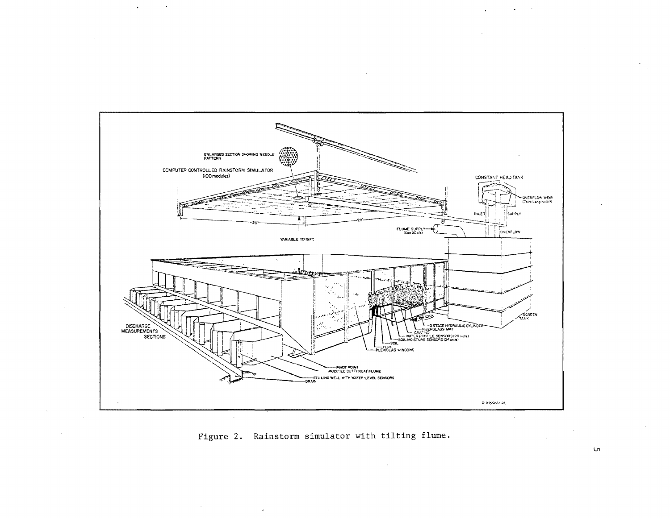

 $\ddot{\phantom{0}}$ 



 $\pm$ 

 $\langle 4, 1 \rangle$ 

 $\sim$ t..n

 $\sim$ 

 $\bar{z}$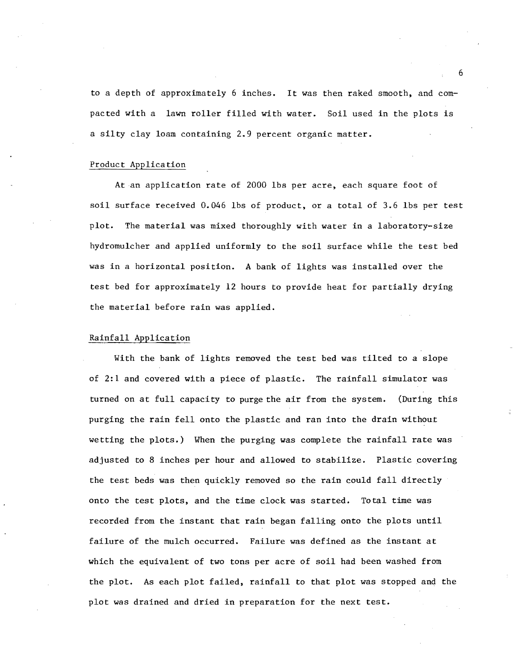to a depth of approximately 6 inches. It was then raked smooth. and compacted with a lawn roller filled with water. Soil used in the plots is a silty clay loam containing 2.9 percent organic matter.

#### Product Application

At an application rate of 2000 lbs per acre. each square foot of soil surface received 0.046 lbs of product, or a total of 3.6 lbs per test plot. The material was mixed thoroughly with water in a laboratory-size hydromulcher and applied uniformly to the soil surface while the test bed was in a horizontal position. A bank of lights was installed over the test bed for approximately 12 hours to provide heat for partially drying the material before rain was applied.

#### Rainfall Application

With the bank of lights removed the test bed was tilted to a slope of 2:1 and covered with a piece of plastic. The rainfall simulator was turned on at full capacity to purge the air from the system. (During this purging the rain fell onto the plastic and ran into the drain without wetting the plots.) When the purging was complete the rainfall rate was adjusted to 8 inches per hour and allowed to stabilize. Plastic covering the test beds was then quickly removed so the rain could fall directly onto the test plots. and the time clock was started. Total time was recorded from the instant that rain began falling onto the plots until failure of the mulch occurred. Failure was defined as the instant at which the equivalent of two tons per acre of soil had been washed from the plot. As each plot failed. rainfall to that plot was stopped and the plot was drained and dried in preparation for the next test.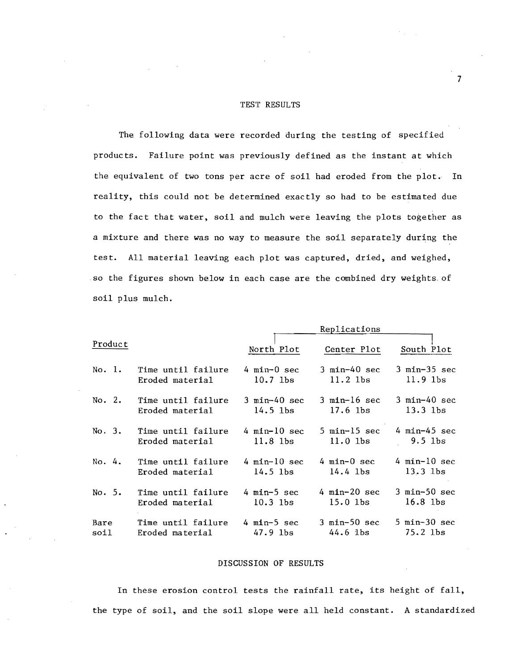#### TEST RESULTS

The following data were recorded during the testing of specified products. Failure point was previously defined as the instant at which the equivalent of two tons per acre of soil had eroded from the plot. In reality, this could not be determined exactly so had to be estimated due to the fact that water, soil and mulch were leaving the plots together as a mixture and there was no way to measure the soil separately during the test. All material leaving each plot was captured, dried, and weighed, so the figures shown below in each case are the combined dry weights. of soil plus mulch.

|          |                                                    |                                 | Replications                     |                                  |
|----------|----------------------------------------------------|---------------------------------|----------------------------------|----------------------------------|
| Product  |                                                    | North Plot                      | Center Plot                      | South Plot                       |
| No. 1.   | Time until failure                                 | $4 \text{ min} - 0 \text{ sec}$ | $3 min-40 sec$                   | $3$ min-35 sec                   |
|          | Eroded material                                    | 10.7 lbs                        | $11.2$ $1bs$                     | $11.9$ $1bs$                     |
| No. 2.   | Time until failure 3 min-40 sec<br>Eroded material | 14.5 lbs                        | $3$ min-16 sec<br>$17.6$ $1bs$   | $3$ min-40 sec<br>$13.3$ lbs     |
| No. 3.   | Time until failure                                 | 4 min-10 sec                    | $5 min-15 sec$                   | $4 min-45 sec$                   |
|          | Eroded material                                    | $11.8$ lbs                      | $11.0$ lbs                       | $9.5$ lbs                        |
| No. 4.   | Time until failure                                 | $4 min-10 sec$                  | $4$ min- $0$ sec                 | $4 min-10 sec$                   |
|          | Eroded material                                    | $14.5$ lbs                      | 14.4 lbs                         | $13.3$ $1bs$                     |
| No. $5.$ | Time until failure                                 | $4 \text{ min-}5 \text{ sec}$   | $4 \text{ min} - 20 \text{ sec}$ | $3$ min-50 sec                   |
|          | Eroded material                                    | $10.3$ lbs                      | 15.0 lbs                         | $16.8$ lbs                       |
| Bare     | Time until failure                                 | $4$ min-5 sec                   | 3 min-50 sec                     | $5 \text{ min} - 30 \text{ sec}$ |
| soil     | Eroded material                                    | $47.9$ lbs                      | $44.6$ 1bs                       | $75.2$ lbs                       |

#### DISCUSSION OF RESULTS

In these erosion control tests the rainfall rate, its height of fall, the type of soil, and the soil slope were all held constant. A standardized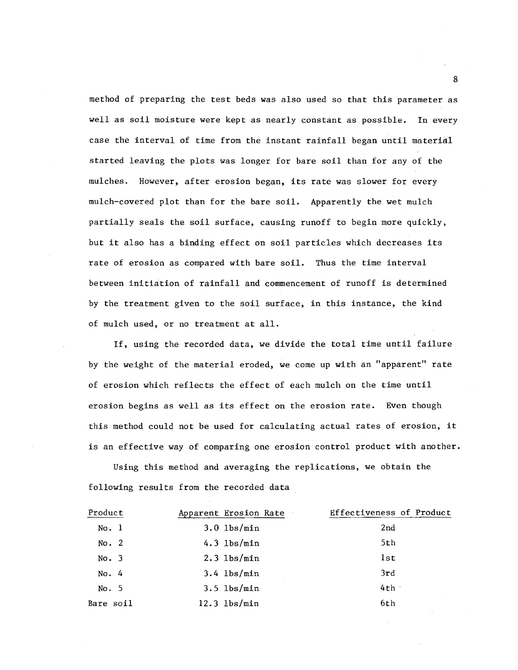method of preparing the test beds was also used so that this parameter as well as soil moisture were kept as nearly constant as possible. In every case the interval of time from the instant rainfall began until material started leaving the plots was longer for bare soil than for any of the mulches. However, after erosion began, its rate was slower for every mulch-covered plot than for the bare soil. Apparently the wet mulch partially seals the soil surface, causing runoff to begin more quickly, but it also has a binding effect on soil particles which decreases its rate of erosion as compared with bare soil. Thus the time interval between initiation of rainfall and commencement of runoff is determined by the treatment given to the soil surface, in this instance, the kind of mulch used, or no treatment at all.

If, using the recorded data, we divide the total time until failure by the weight of the material eroded, we come up with an "apparent" rate of erosion which reflects the effect of each mulch on the time until erosion begins as well as its effect on the erosion rate. Even though this method could not be used for calculating actual rates of erosion, it is an effective way of comparing one erosion control product with another.

Using this method and averaging the replications, we obtain the following results from the recorded data

| Product   | Apparent Erosion Rate | Effectiveness of Product |
|-----------|-----------------------|--------------------------|
| No. 1     | $3.0$ lbs/min         | 2nd                      |
| No. 2     | $4.3$ lbs/min         | 5th                      |
| No. 3     | $2.3$ lbs/min         | lst                      |
| No. 4     | $3.4$ lbs/min         | 3rd                      |
| No. 5     | $3.5$ lbs/min         | 4th                      |
| Bare soil | $12.3$ lbs/min        | 6th                      |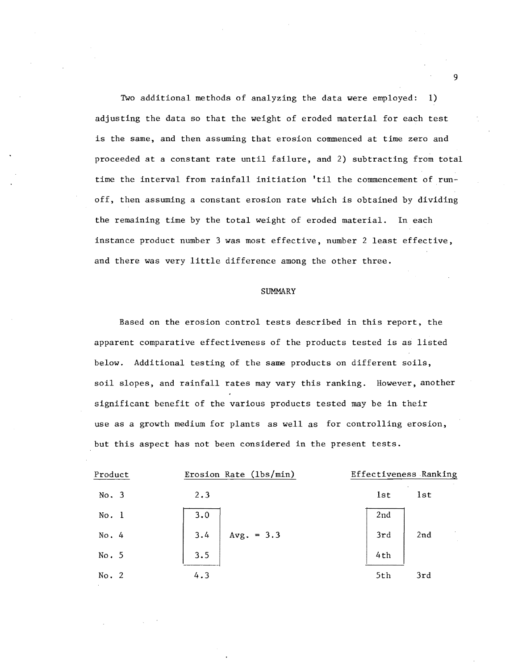Two additional methods of analyzing the data were employed: 1) adjusting the data so that the weight of eroded material for each test is the same, and then assuming that erosion commenced at time zero and proceeded at a constant rate until failure, and 2) subtracting from total time the interval from rainfall initiation 'til the commencement of runoff, then assuming a constant erosion rate which is obtained by dividing the remaining time by the total weight of eroded material. In each instance product number 3 was most effective, number 2 least effective, and there was very little difference among the other three.

#### SUMMARY

Based on the erosion control tests described in this report, the apparent comparative effectiveness of the products tested is as listed below. Additional testing of the same products on different soils, soil slopes, and rainfall rates may vary this ranking. However, another significant benefit of the various products tested may be in their use as a growth medium for plants as well as for controlling erosion, but this aspect has not been considered in the present tests.

| Product | Erosion Rate (1bs/min) | Effectiveness Ranking |
|---------|------------------------|-----------------------|
| No. 3   | 2.3                    | <b>lst</b><br>lst     |
| No. 1   | 3.0                    | 2nd                   |
| No. 4   | Avg. = $3.3$<br>3.4    | 2nd<br>3rd            |
| No. $5$ | 3.5                    | 4th                   |
| No. 2   | 4.3                    | 5th<br>3rd            |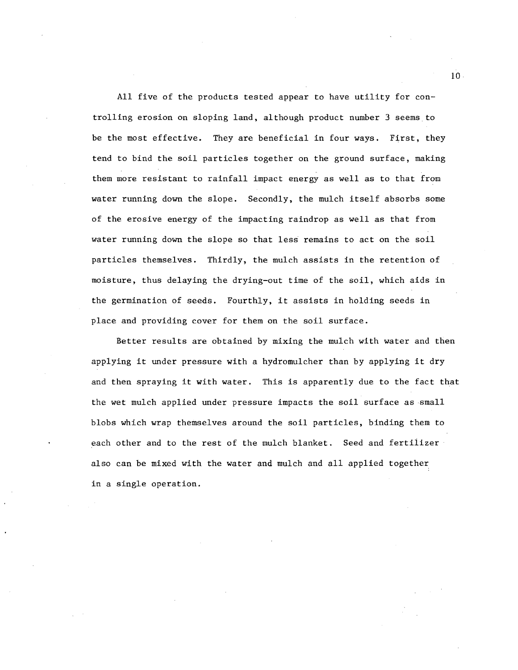All five of the products tested appear to have utility for controlling erosion on sloping land, although product number 3 seems. to be the most effective. They are beneficial in four ways. First, they tend to bind the soil particles together on the ground surface, making them more resistant to rainfall impact energy as well as to that from water running down the slope. Secondly, the mulch itself absorbs some of the erosive energy of the impacting raindrop as well as that from water running down the slope so that less remains to act on the soil particles themselves. Thirdly, the mulch assists in the retention of moisture, thus delaying the drying-out time of the soil, which aids in the germination of seeds. Fourthly, it assists in holding seeds in place and providing cover for them on the soil surface.

Better results are obtained by mixing the mulch with water and then applying it under pressure with a hydromulcher than by applying it dry and then spraying it with water. This is apparently due to the fact that the wet mulch applied under pressure impacts the soil surface as small blobs which wrap themselves around the soil particles, binding them to each other and to the rest of the mulch blanket. Seed and fertilizer also can be mixed with the water and mulch and all applied together in a single operation.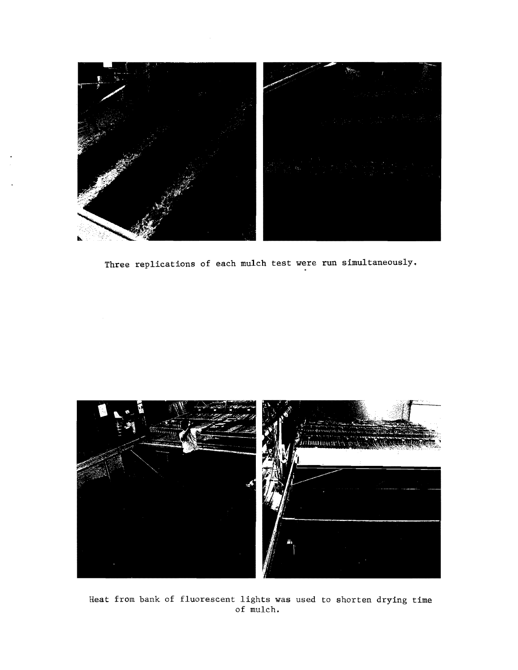

Three replications of each mulch test were run simultaneously,



Heat from bank of fluorescent lights was used to shorten drying time of mulch.